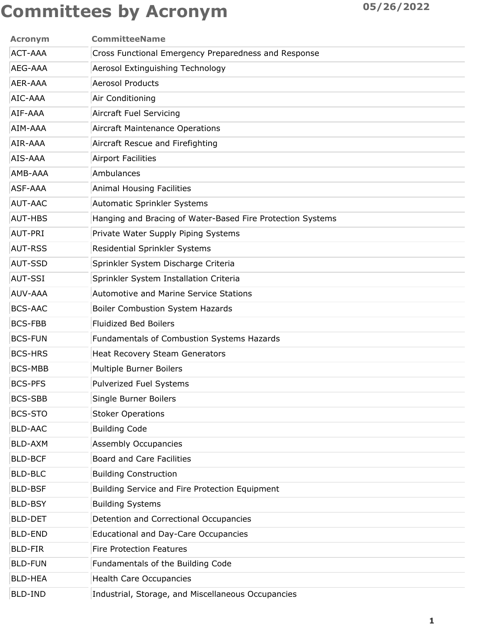| <b>Acronym</b> | <b>CommitteeName</b>                                       |
|----------------|------------------------------------------------------------|
| <b>ACT-AAA</b> | Cross Functional Emergency Preparedness and Response       |
| AEG-AAA        | Aerosol Extinguishing Technology                           |
| AER-AAA        | <b>Aerosol Products</b>                                    |
| AIC-AAA        | Air Conditioning                                           |
| AIF-AAA        | Aircraft Fuel Servicing                                    |
| AIM-AAA        | <b>Aircraft Maintenance Operations</b>                     |
| AIR-AAA        | Aircraft Rescue and Firefighting                           |
| AIS-AAA        | <b>Airport Facilities</b>                                  |
| AMB-AAA        | Ambulances                                                 |
| <b>ASF-AAA</b> | <b>Animal Housing Facilities</b>                           |
| <b>AUT-AAC</b> | Automatic Sprinkler Systems                                |
| <b>AUT-HBS</b> | Hanging and Bracing of Water-Based Fire Protection Systems |
| AUT-PRI        | Private Water Supply Piping Systems                        |
| <b>AUT-RSS</b> | Residential Sprinkler Systems                              |
| <b>AUT-SSD</b> | Sprinkler System Discharge Criteria                        |
| <b>AUT-SSI</b> | Sprinkler System Installation Criteria                     |
| AUV-AAA        | <b>Automotive and Marine Service Stations</b>              |
| <b>BCS-AAC</b> | Boiler Combustion System Hazards                           |
| <b>BCS-FBB</b> | <b>Fluidized Bed Boilers</b>                               |
| <b>BCS-FUN</b> | Fundamentals of Combustion Systems Hazards                 |
| <b>BCS-HRS</b> | <b>Heat Recovery Steam Generators</b>                      |
| <b>BCS-MBB</b> | <b>Multiple Burner Boilers</b>                             |
| <b>BCS-PFS</b> | <b>Pulverized Fuel Systems</b>                             |
| <b>BCS-SBB</b> | Single Burner Boilers                                      |
| <b>BCS-STO</b> | <b>Stoker Operations</b>                                   |
| <b>BLD-AAC</b> | <b>Building Code</b>                                       |
| BLD-AXM        | <b>Assembly Occupancies</b>                                |
| <b>BLD-BCF</b> | <b>Board and Care Facilities</b>                           |
| <b>BLD-BLC</b> | <b>Building Construction</b>                               |
| <b>BLD-BSF</b> | Building Service and Fire Protection Equipment             |
| <b>BLD-BSY</b> | <b>Building Systems</b>                                    |
| <b>BLD-DET</b> | Detention and Correctional Occupancies                     |
| <b>BLD-END</b> | <b>Educational and Day-Care Occupancies</b>                |
| <b>BLD-FIR</b> | <b>Fire Protection Features</b>                            |
| <b>BLD-FUN</b> | Fundamentals of the Building Code                          |
| <b>BLD-HEA</b> | Health Care Occupancies                                    |
| <b>BLD-IND</b> | Industrial, Storage, and Miscellaneous Occupancies         |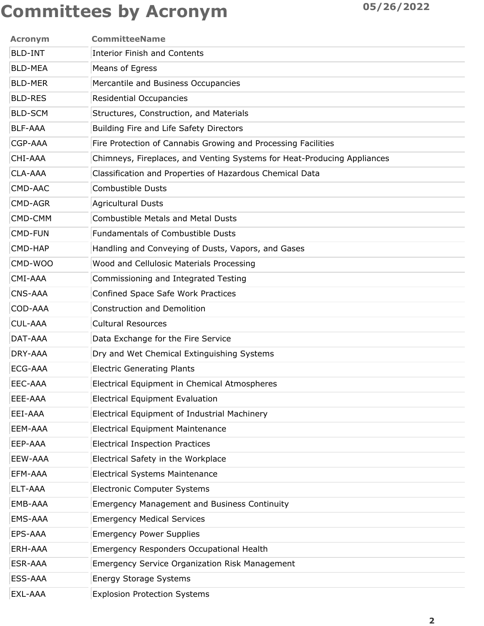| <b>Acronym</b> | <b>CommitteeName</b>                                                    |
|----------------|-------------------------------------------------------------------------|
| <b>BLD-INT</b> | <b>Interior Finish and Contents</b>                                     |
| <b>BLD-MEA</b> | Means of Egress                                                         |
| <b>BLD-MER</b> | Mercantile and Business Occupancies                                     |
| <b>BLD-RES</b> | Residential Occupancies                                                 |
| <b>BLD-SCM</b> | Structures, Construction, and Materials                                 |
| <b>BLF-AAA</b> | Building Fire and Life Safety Directors                                 |
| CGP-AAA        | Fire Protection of Cannabis Growing and Processing Facilities           |
| CHI-AAA        | Chimneys, Fireplaces, and Venting Systems for Heat-Producing Appliances |
| CLA-AAA        | Classification and Properties of Hazardous Chemical Data                |
| CMD-AAC        | <b>Combustible Dusts</b>                                                |
| CMD-AGR        | <b>Agricultural Dusts</b>                                               |
| CMD-CMM        | <b>Combustible Metals and Metal Dusts</b>                               |
| <b>CMD-FUN</b> | <b>Fundamentals of Combustible Dusts</b>                                |
| CMD-HAP        | Handling and Conveying of Dusts, Vapors, and Gases                      |
| CMD-WOO        | Wood and Cellulosic Materials Processing                                |
| CMI-AAA        | Commissioning and Integrated Testing                                    |
| <b>CNS-AAA</b> | Confined Space Safe Work Practices                                      |
| COD-AAA        | <b>Construction and Demolition</b>                                      |
| <b>CUL-AAA</b> | <b>Cultural Resources</b>                                               |
| DAT-AAA        | Data Exchange for the Fire Service                                      |
| DRY-AAA        | Dry and Wet Chemical Extinguishing Systems                              |
| ECG-AAA        | <b>Electric Generating Plants</b>                                       |
| EEC-AAA        | Electrical Equipment in Chemical Atmospheres                            |
| EEE-AAA        | <b>Electrical Equipment Evaluation</b>                                  |
| EEI-AAA        | Electrical Equipment of Industrial Machinery                            |
| EEM-AAA        | <b>Electrical Equipment Maintenance</b>                                 |
| EEP-AAA        | <b>Electrical Inspection Practices</b>                                  |
| EEW-AAA        | Electrical Safety in the Workplace                                      |
| EFM-AAA        | <b>Electrical Systems Maintenance</b>                                   |
| ELT-AAA        | <b>Electronic Computer Systems</b>                                      |
| EMB-AAA        | <b>Emergency Management and Business Continuity</b>                     |
| EMS-AAA        | <b>Emergency Medical Services</b>                                       |
| EPS-AAA        | <b>Emergency Power Supplies</b>                                         |
| ERH-AAA        | Emergency Responders Occupational Health                                |
| ESR-AAA        | <b>Emergency Service Organization Risk Management</b>                   |
| ESS-AAA        | <b>Energy Storage Systems</b>                                           |
| EXL-AAA        | <b>Explosion Protection Systems</b>                                     |
|                |                                                                         |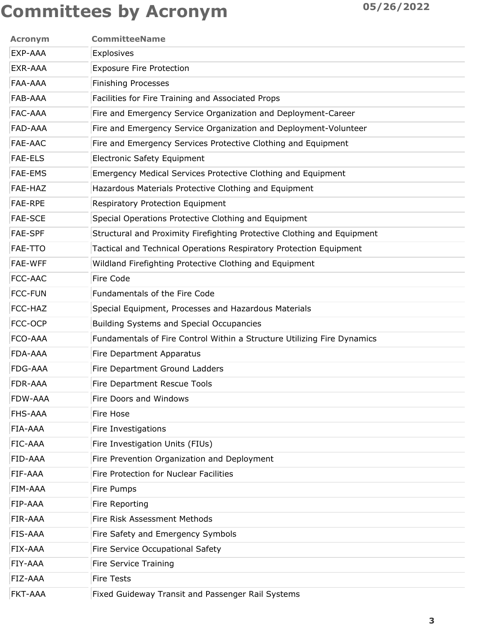| <b>CommitteeName</b>                                                    |
|-------------------------------------------------------------------------|
| Explosives                                                              |
| <b>Exposure Fire Protection</b>                                         |
| <b>Finishing Processes</b>                                              |
| Facilities for Fire Training and Associated Props                       |
| Fire and Emergency Service Organization and Deployment-Career           |
| Fire and Emergency Service Organization and Deployment-Volunteer        |
| Fire and Emergency Services Protective Clothing and Equipment           |
| <b>Electronic Safety Equipment</b>                                      |
| Emergency Medical Services Protective Clothing and Equipment            |
| Hazardous Materials Protective Clothing and Equipment                   |
| Respiratory Protection Equipment                                        |
| Special Operations Protective Clothing and Equipment                    |
| Structural and Proximity Firefighting Protective Clothing and Equipment |
| Tactical and Technical Operations Respiratory Protection Equipment      |
| Wildland Firefighting Protective Clothing and Equipment                 |
| Fire Code                                                               |
| Fundamentals of the Fire Code                                           |
| Special Equipment, Processes and Hazardous Materials                    |
| <b>Building Systems and Special Occupancies</b>                         |
| Fundamentals of Fire Control Within a Structure Utilizing Fire Dynamics |
| Fire Department Apparatus                                               |
| Fire Department Ground Ladders                                          |
| Fire Department Rescue Tools                                            |
| Fire Doors and Windows                                                  |
| Fire Hose                                                               |
| Fire Investigations                                                     |
| Fire Investigation Units (FIUs)                                         |
| Fire Prevention Organization and Deployment                             |
| Fire Protection for Nuclear Facilities                                  |
| Fire Pumps                                                              |
| Fire Reporting                                                          |
| Fire Risk Assessment Methods                                            |
| Fire Safety and Emergency Symbols                                       |
| Fire Service Occupational Safety                                        |
| Fire Service Training                                                   |
| <b>Fire Tests</b>                                                       |
| Fixed Guideway Transit and Passenger Rail Systems                       |
|                                                                         |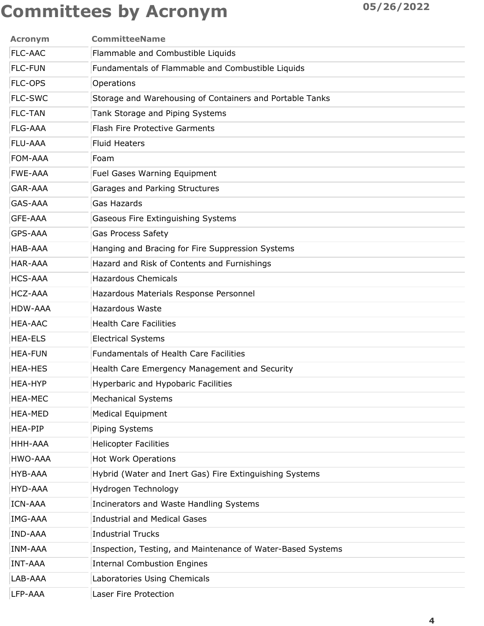| <b>Acronym</b> | <b>CommitteeName</b>                                        |
|----------------|-------------------------------------------------------------|
| <b>FLC-AAC</b> | Flammable and Combustible Liquids                           |
| <b>FLC-FUN</b> | Fundamentals of Flammable and Combustible Liquids           |
| <b>FLC-OPS</b> | Operations                                                  |
| <b>FLC-SWC</b> | Storage and Warehousing of Containers and Portable Tanks    |
| <b>FLC-TAN</b> | Tank Storage and Piping Systems                             |
| <b>FLG-AAA</b> | <b>Flash Fire Protective Garments</b>                       |
| <b>FLU-AAA</b> | <b>Fluid Heaters</b>                                        |
| FOM-AAA        | Foam                                                        |
| <b>FWE-AAA</b> | Fuel Gases Warning Equipment                                |
| <b>GAR-AAA</b> | Garages and Parking Structures                              |
| <b>GAS-AAA</b> | <b>Gas Hazards</b>                                          |
| <b>GFE-AAA</b> | Gaseous Fire Extinguishing Systems                          |
| GPS-AAA        | <b>Gas Process Safety</b>                                   |
| HAB-AAA        | Hanging and Bracing for Fire Suppression Systems            |
| <b>HAR-AAA</b> | Hazard and Risk of Contents and Furnishings                 |
| <b>HCS-AAA</b> | <b>Hazardous Chemicals</b>                                  |
| <b>HCZ-AAA</b> | Hazardous Materials Response Personnel                      |
| HDW-AAA        | <b>Hazardous Waste</b>                                      |
| <b>HEA-AAC</b> | <b>Health Care Facilities</b>                               |
| <b>HEA-ELS</b> | <b>Electrical Systems</b>                                   |
| <b>HEA-FUN</b> | <b>Fundamentals of Health Care Facilities</b>               |
| <b>HEA-HES</b> | Health Care Emergency Management and Security               |
| <b>HEA-HYP</b> | <b>Hyperbaric and Hypobaric Facilities</b>                  |
| <b>HEA-MEC</b> | <b>Mechanical Systems</b>                                   |
| <b>HEA-MED</b> | <b>Medical Equipment</b>                                    |
| <b>HEA-PIP</b> | Piping Systems                                              |
| HHH-AAA        | <b>Helicopter Facilities</b>                                |
| HWO-AAA        | <b>Hot Work Operations</b>                                  |
| <b>HYB-AAA</b> | Hybrid (Water and Inert Gas) Fire Extinguishing Systems     |
| HYD-AAA        | Hydrogen Technology                                         |
| <b>ICN-AAA</b> | Incinerators and Waste Handling Systems                     |
| <b>IMG-AAA</b> | <b>Industrial and Medical Gases</b>                         |
| <b>IND-AAA</b> | <b>Industrial Trucks</b>                                    |
| <b>INM-AAA</b> | Inspection, Testing, and Maintenance of Water-Based Systems |
| <b>INT-AAA</b> | <b>Internal Combustion Engines</b>                          |
| LAB-AAA        | Laboratories Using Chemicals                                |
| LFP-AAA        | Laser Fire Protection                                       |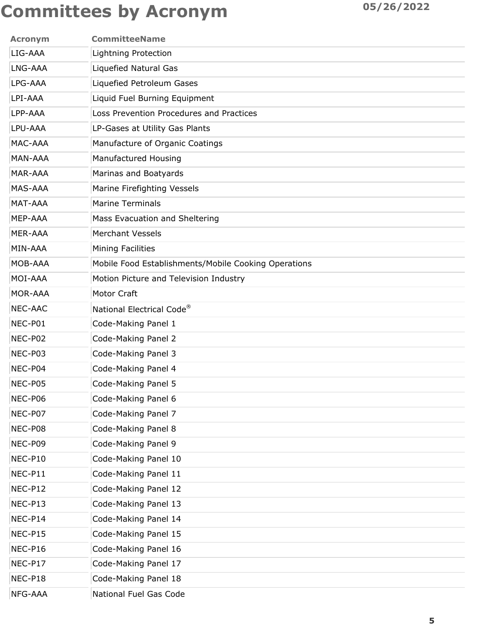| <b>Acronym</b> | <b>CommitteeName</b>                                 |
|----------------|------------------------------------------------------|
| LIG-AAA        | Lightning Protection                                 |
| LNG-AAA        | <b>Liquefied Natural Gas</b>                         |
| LPG-AAA        | Liquefied Petroleum Gases                            |
| LPI-AAA        | Liquid Fuel Burning Equipment                        |
| LPP-AAA        | Loss Prevention Procedures and Practices             |
| LPU-AAA        | LP-Gases at Utility Gas Plants                       |
| MAC-AAA        | Manufacture of Organic Coatings                      |
| MAN-AAA        | Manufactured Housing                                 |
| <b>MAR-AAA</b> | Marinas and Boatyards                                |
| <b>MAS-AAA</b> | Marine Firefighting Vessels                          |
| MAT-AAA        | <b>Marine Terminals</b>                              |
| MEP-AAA        | Mass Evacuation and Sheltering                       |
| MER-AAA        | <b>Merchant Vessels</b>                              |
| MIN-AAA        | <b>Mining Facilities</b>                             |
| MOB-AAA        | Mobile Food Establishments/Mobile Cooking Operations |
| MOI-AAA        | Motion Picture and Television Industry               |
| MOR-AAA        | Motor Craft                                          |
| <b>NEC-AAC</b> | National Electrical Code <sup>®</sup>                |
| NEC-P01        | Code-Making Panel 1                                  |
| NEC-P02        | Code-Making Panel 2                                  |
| NEC-P03        | Code-Making Panel 3                                  |
| NEC-P04        | Code-Making Panel 4                                  |
| NEC-P05        | Code-Making Panel 5                                  |
| NEC-P06        | Code-Making Panel 6                                  |
| NEC-P07        | Code-Making Panel 7                                  |
| NEC-P08        | Code-Making Panel 8                                  |
| NEC-P09        | Code-Making Panel 9                                  |
| NEC-P10        | Code-Making Panel 10                                 |
| NEC-P11        | Code-Making Panel 11                                 |
| NEC-P12        | Code-Making Panel 12                                 |
| NEC-P13        | Code-Making Panel 13                                 |
| NEC-P14        | Code-Making Panel 14                                 |
| NEC-P15        | Code-Making Panel 15                                 |
| NEC-P16        | Code-Making Panel 16                                 |
| NEC-P17        | Code-Making Panel 17                                 |
| NEC-P18        | Code-Making Panel 18                                 |
| NFG-AAA        | National Fuel Gas Code                               |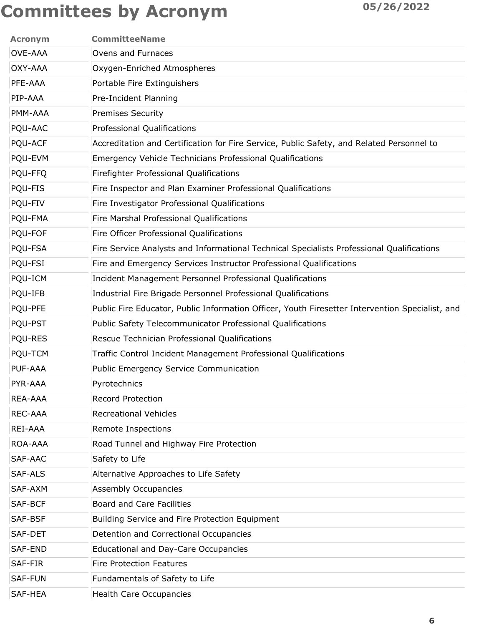| <b>Acronym</b> | <b>CommitteeName</b>                                                                            |
|----------------|-------------------------------------------------------------------------------------------------|
| <b>OVE-AAA</b> | Ovens and Furnaces                                                                              |
| OXY-AAA        | Oxygen-Enriched Atmospheres                                                                     |
| PFE-AAA        | Portable Fire Extinguishers                                                                     |
| PIP-AAA        | Pre-Incident Planning                                                                           |
| PMM-AAA        | <b>Premises Security</b>                                                                        |
| PQU-AAC        | Professional Qualifications                                                                     |
| PQU-ACF        | Accreditation and Certification for Fire Service, Public Safety, and Related Personnel to       |
| PQU-EVM        | <b>Emergency Vehicle Technicians Professional Qualifications</b>                                |
| PQU-FFQ        | Firefighter Professional Qualifications                                                         |
| PQU-FIS        | Fire Inspector and Plan Examiner Professional Qualifications                                    |
| PQU-FIV        | Fire Investigator Professional Qualifications                                                   |
| PQU-FMA        | Fire Marshal Professional Qualifications                                                        |
| PQU-FOF        | Fire Officer Professional Qualifications                                                        |
| PQU-FSA        | Fire Service Analysts and Informational Technical Specialists Professional Qualifications       |
| PQU-FSI        | Fire and Emergency Services Instructor Professional Qualifications                              |
| PQU-ICM        | Incident Management Personnel Professional Qualifications                                       |
| PQU-IFB        | Industrial Fire Brigade Personnel Professional Qualifications                                   |
| PQU-PFE        | Public Fire Educator, Public Information Officer, Youth Firesetter Intervention Specialist, and |
| PQU-PST        | Public Safety Telecommunicator Professional Qualifications                                      |
| PQU-RES        | Rescue Technician Professional Qualifications                                                   |
| PQU-TCM        | Traffic Control Incident Management Professional Qualifications                                 |
| <b>PUF-AAA</b> | Public Emergency Service Communication                                                          |
| PYR-AAA        | Pyrotechnics                                                                                    |
| REA-AAA        | <b>Record Protection</b>                                                                        |
| REC-AAA        | <b>Recreational Vehicles</b>                                                                    |
| REI-AAA        | Remote Inspections                                                                              |
| ROA-AAA        | Road Tunnel and Highway Fire Protection                                                         |
| SAF-AAC        | Safety to Life                                                                                  |
| SAF-ALS        | Alternative Approaches to Life Safety                                                           |
| SAF-AXM        | <b>Assembly Occupancies</b>                                                                     |
| SAF-BCF        | <b>Board and Care Facilities</b>                                                                |
| SAF-BSF        | Building Service and Fire Protection Equipment                                                  |
| SAF-DET        | Detention and Correctional Occupancies                                                          |
| SAF-END        | <b>Educational and Day-Care Occupancies</b>                                                     |
| SAF-FIR        | <b>Fire Protection Features</b>                                                                 |
| <b>SAF-FUN</b> | Fundamentals of Safety to Life                                                                  |
| SAF-HEA        | <b>Health Care Occupancies</b>                                                                  |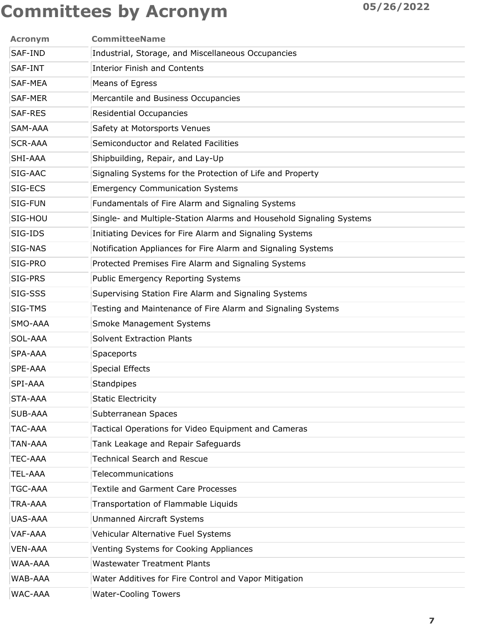| <b>Acronym</b> | <b>CommitteeName</b>                                                |
|----------------|---------------------------------------------------------------------|
| SAF-IND        | Industrial, Storage, and Miscellaneous Occupancies                  |
| SAF-INT        | <b>Interior Finish and Contents</b>                                 |
| <b>SAF-MEA</b> | Means of Egress                                                     |
| <b>SAF-MER</b> | Mercantile and Business Occupancies                                 |
| <b>SAF-RES</b> | <b>Residential Occupancies</b>                                      |
| SAM-AAA        | Safety at Motorsports Venues                                        |
| <b>SCR-AAA</b> | Semiconductor and Related Facilities                                |
| SHI-AAA        | Shipbuilding, Repair, and Lay-Up                                    |
| SIG-AAC        | Signaling Systems for the Protection of Life and Property           |
| SIG-ECS        | <b>Emergency Communication Systems</b>                              |
| SIG-FUN        | Fundamentals of Fire Alarm and Signaling Systems                    |
| SIG-HOU        | Single- and Multiple-Station Alarms and Household Signaling Systems |
| SIG-IDS        | Initiating Devices for Fire Alarm and Signaling Systems             |
| SIG-NAS        | Notification Appliances for Fire Alarm and Signaling Systems        |
| SIG-PRO        | Protected Premises Fire Alarm and Signaling Systems                 |
| SIG-PRS        | <b>Public Emergency Reporting Systems</b>                           |
| SIG-SSS        | Supervising Station Fire Alarm and Signaling Systems                |
| SIG-TMS        | Testing and Maintenance of Fire Alarm and Signaling Systems         |
| SMO-AAA        | <b>Smoke Management Systems</b>                                     |
| SOL-AAA        | <b>Solvent Extraction Plants</b>                                    |
| <b>SPA-AAA</b> | Spaceports                                                          |
| <b>SPE-AAA</b> | <b>Special Effects</b>                                              |
| SPI-AAA        | <b>Standpipes</b>                                                   |
| STA-AAA        | <b>Static Electricity</b>                                           |
| <b>SUB-AAA</b> | Subterranean Spaces                                                 |
| TAC-AAA        | Tactical Operations for Video Equipment and Cameras                 |
| TAN-AAA        | Tank Leakage and Repair Safeguards                                  |
| <b>TEC-AAA</b> | <b>Technical Search and Rescue</b>                                  |
| TEL-AAA        | Telecommunications                                                  |
| <b>TGC-AAA</b> | <b>Textile and Garment Care Processes</b>                           |
| TRA-AAA        | Transportation of Flammable Liquids                                 |
| <b>UAS-AAA</b> | <b>Unmanned Aircraft Systems</b>                                    |
| VAF-AAA        | Vehicular Alternative Fuel Systems                                  |
| <b>VEN-AAA</b> | Venting Systems for Cooking Appliances                              |
| <b>WAA-AAA</b> | <b>Wastewater Treatment Plants</b>                                  |
| WAB-AAA        | Water Additives for Fire Control and Vapor Mitigation               |
| WAC-AAA        | <b>Water-Cooling Towers</b>                                         |